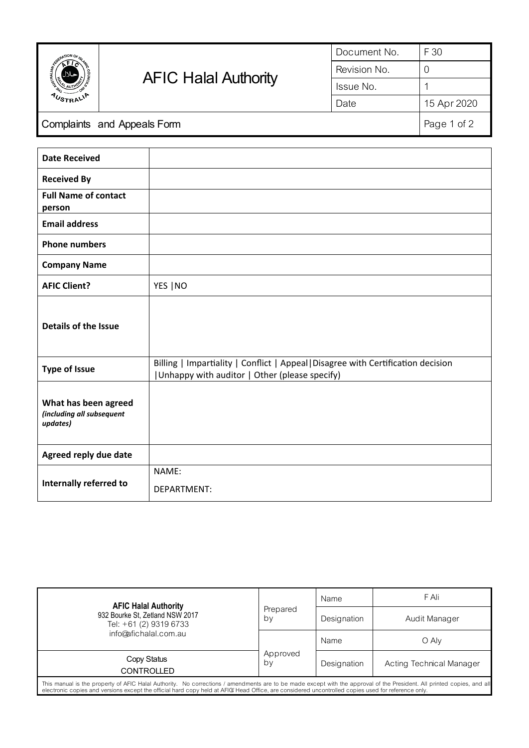| <b>ANTION OF</b><br><b>AUSTRALIA</b> | <b>AFIC Halal Authority</b> | Document No. | F 30        |
|--------------------------------------|-----------------------------|--------------|-------------|
|                                      |                             | Revision No. | U           |
|                                      |                             | Issue No.    |             |
|                                      |                             | Date         | 15 Apr 2020 |
| Complaints and Appeals Form          |                             |              | Page 1 of 2 |

| <b>Date Received</b>                                          |                                                                                                                                    |
|---------------------------------------------------------------|------------------------------------------------------------------------------------------------------------------------------------|
| <b>Received By</b>                                            |                                                                                                                                    |
| <b>Full Name of contact</b><br>person                         |                                                                                                                                    |
| <b>Email address</b>                                          |                                                                                                                                    |
| <b>Phone numbers</b>                                          |                                                                                                                                    |
| <b>Company Name</b>                                           |                                                                                                                                    |
| <b>AFIC Client?</b>                                           | YES   NO                                                                                                                           |
| <b>Details of the Issue</b>                                   |                                                                                                                                    |
| <b>Type of Issue</b>                                          | Billing   Impartiality   Conflict   Appeal   Disagree with Certification decision<br>Unhappy with auditor   Other (please specify) |
| What has been agreed<br>(including all subsequent<br>updates) |                                                                                                                                    |
| Agreed reply due date                                         |                                                                                                                                    |
| Internally referred to                                        | NAME:<br>DEPARTMENT:                                                                                                               |

| <b>AFIC Halal Authority</b>                                                                                                                                                                                                                                                                                                  | Prepared<br>by | Name        | F Ali                    |
|------------------------------------------------------------------------------------------------------------------------------------------------------------------------------------------------------------------------------------------------------------------------------------------------------------------------------|----------------|-------------|--------------------------|
| 932 Bourke St, Zetland NSW 2017<br>Tel: +61 (2) 9319 6733                                                                                                                                                                                                                                                                    |                | Designation | Audit Manager            |
| info@afichalal.com.au                                                                                                                                                                                                                                                                                                        |                | Name        | O Aly                    |
| Copy Status<br><b>CONTROLLED</b>                                                                                                                                                                                                                                                                                             | Approved<br>by | Designation | Acting Technical Manager |
| This manual is the property of AFIC Halal Authority. No corrections / amendments are to be made except with the approval of the President. All printed copies, and all<br>electronic copies and versions except the official hard copy held at AFIG Head Office, are considered uncontrolled copies used for reference only. |                |             |                          |